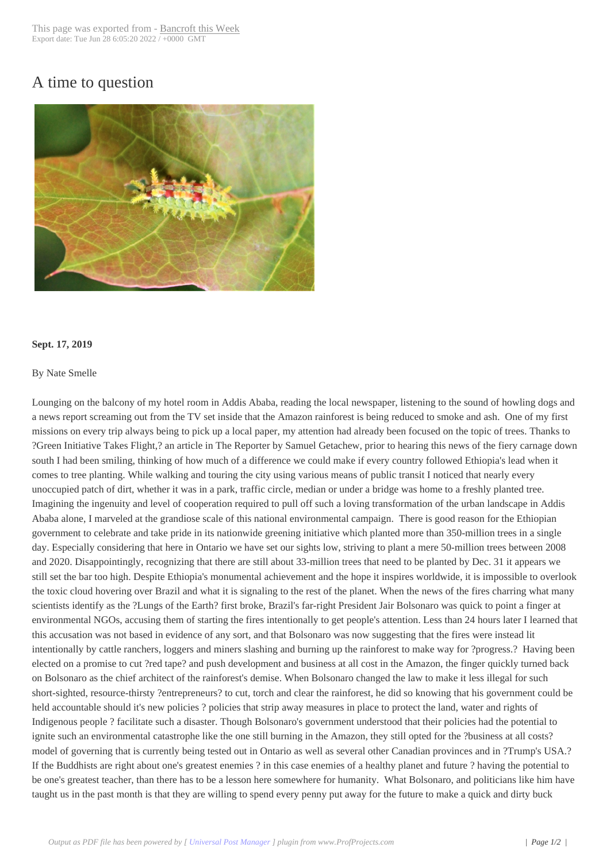## A time to question



## **Sept. 17, 2019**

## By Nate Smelle

Lounging on the balcony of my hotel room in Addis Ababa, reading the local newspaper, listening to the sound of howling dogs and a news report screaming out from the TV set inside that the Amazon rainforest is being reduced to smoke and ash. One of my first missions on every trip always being to pick up a local paper, my attention had already been focused on the topic of trees. Thanks to ?Green Initiative Takes Flight,? an article in The Reporter by Samuel Getachew, prior to hearing this news of the fiery carnage down south I had been smiling, thinking of how much of a difference we could make if every country followed Ethiopia's lead when it comes to tree planting. While walking and touring the city using various means of public transit I noticed that nearly every unoccupied patch of dirt, whether it was in a park, traffic circle, median or under a bridge was home to a freshly planted tree. Imagining the ingenuity and level of cooperation required to pull off such a loving transformation of the urban landscape in Addis Ababa alone, I marveled at the grandiose scale of this national environmental campaign. There is good reason for the Ethiopian government to celebrate and take pride in its nationwide greening initiative which planted more than 350-million trees in a single day. Especially considering that here in Ontario we have set our sights low, striving to plant a mere 50-million trees between 2008 and 2020. Disappointingly, recognizing that there are still about 33-million trees that need to be planted by Dec. 31 it appears we still set the bar too high. Despite Ethiopia's monumental achievement and the hope it inspires worldwide, it is impossible to overlook the toxic cloud hovering over Brazil and what it is signaling to the rest of the planet. When the news of the fires charring what many scientists identify as the ?Lungs of the Earth? first broke, Brazil's far-right President Jair Bolsonaro was quick to point a finger at environmental NGOs, accusing them of starting the fires intentionally to get people's attention. Less than 24 hours later I learned that this accusation was not based in evidence of any sort, and that Bolsonaro was now suggesting that the fires were instead lit intentionally by cattle ranchers, loggers and miners slashing and burning up the rainforest to make way for ?progress.? Having been elected on a promise to cut ?red tape? and push development and business at all cost in the Amazon, the finger quickly turned back on Bolsonaro as the chief architect of the rainforest's demise. When Bolsonaro changed the law to make it less illegal for such short-sighted, resource-thirsty ?entrepreneurs? to cut, torch and clear the rainforest, he did so knowing that his government could be held accountable should it's new policies ? policies that strip away measures in place to protect the land, water and rights of Indigenous people ? facilitate such a disaster. Though Bolsonaro's government understood that their policies had the potential to ignite such an environmental catastrophe like the one still burning in the Amazon, they still opted for the ?business at all costs? model of governing that is currently being tested out in Ontario as well as several other Canadian provinces and in ?Trump's USA.? If the Buddhists are right about one's greatest enemies ? in this case enemies of a healthy planet and future ? having the potential to be one's greatest teacher, than there has to be a lesson here somewhere for humanity. What Bolsonaro, and politicians like him have taught us in the past month is that they are willing to spend every penny put away for the future to make a quick and dirty buck